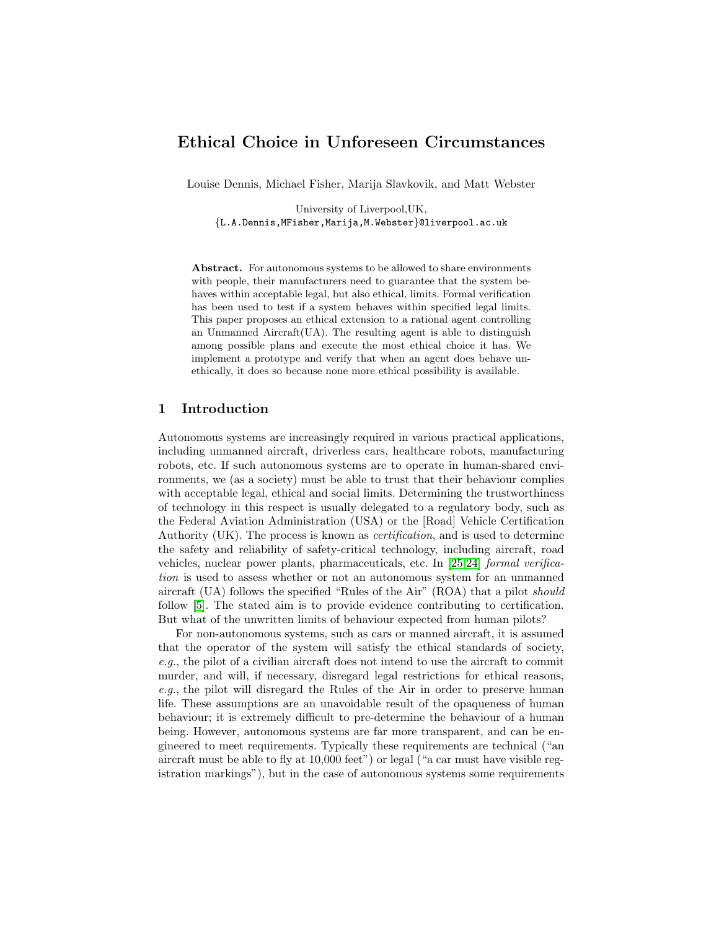# Ethical Choice in Unforeseen Circumstances

Louise Dennis, Michael Fisher, Marija Slavkovik, and Matt Webster

University of Liverpool,UK, {L.A.Dennis,MFisher,Marija,M.Webster}@liverpool.ac.uk

Abstract. For autonomous systems to be allowed to share environments with people, their manufacturers need to guarantee that the system behaves within acceptable legal, but also ethical, limits. Formal verification has been used to test if a system behaves within specified legal limits. This paper proposes an ethical extension to a rational agent controlling an Unmanned Aircraft(UA). The resulting agent is able to distinguish among possible plans and execute the most ethical choice it has. We implement a prototype and verify that when an agent does behave unethically, it does so because none more ethical possibility is available.

# 1 Introduction

Autonomous systems are increasingly required in various practical applications, including unmanned aircraft, driverless cars, healthcare robots, manufacturing robots, etc. If such autonomous systems are to operate in human-shared environments, we (as a society) must be able to trust that their behaviour complies with acceptable legal, ethical and social limits. Determining the trustworthiness of technology in this respect is usually delegated to a regulatory body, such as the Federal Aviation Administration (USA) or the [Road] Vehicle Certification Authority (UK). The process is known as certification, and is used to determine the safety and reliability of safety-critical technology, including aircraft, road vehicles, nuclear power plants, pharmaceuticals, etc. In [\[25,](#page-11-0)[24\]](#page-11-1) formal verification is used to assess whether or not an autonomous system for an unmanned aircraft (UA) follows the specified "Rules of the Air" (ROA) that a pilot should follow [\[5\]](#page-11-2). The stated aim is to provide evidence contributing to certification. But what of the unwritten limits of behaviour expected from human pilots?

For non-autonomous systems, such as cars or manned aircraft, it is assumed that the operator of the system will satisfy the ethical standards of society, e.g., the pilot of a civilian aircraft does not intend to use the aircraft to commit murder, and will, if necessary, disregard legal restrictions for ethical reasons, e.g., the pilot will disregard the Rules of the Air in order to preserve human life. These assumptions are an unavoidable result of the opaqueness of human behaviour; it is extremely difficult to pre-determine the behaviour of a human being. However, autonomous systems are far more transparent, and can be engineered to meet requirements. Typically these requirements are technical ("an aircraft must be able to fly at 10,000 feet") or legal ("a car must have visible registration markings"), but in the case of autonomous systems some requirements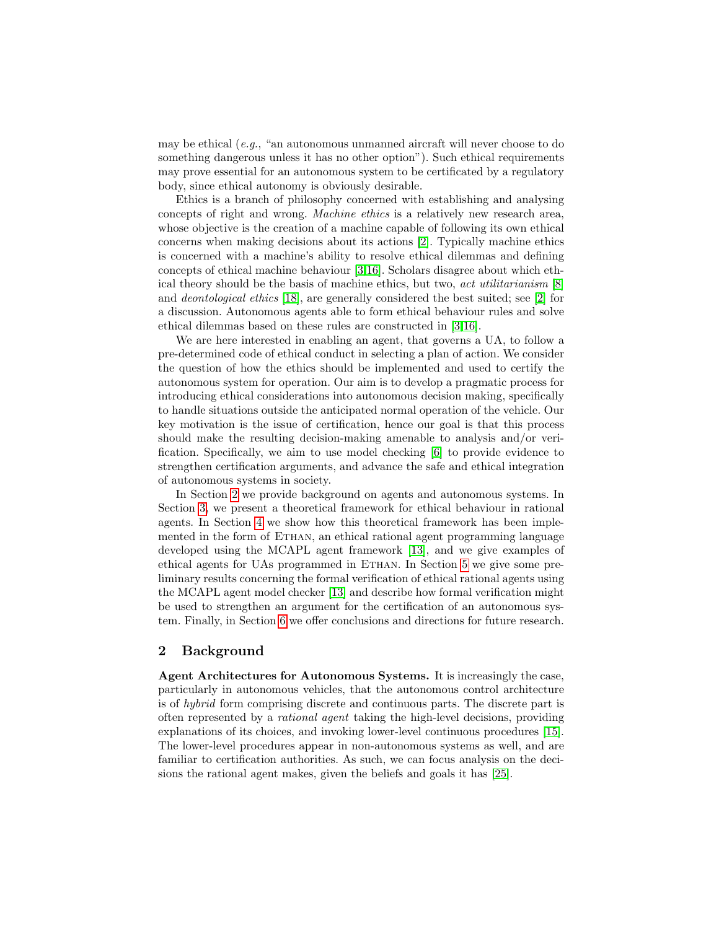may be ethical  $(e.g., "an autonomous unmanned aircraft will never choose to do)$ something dangerous unless it has no other option"). Such ethical requirements may prove essential for an autonomous system to be certificated by a regulatory body, since ethical autonomy is obviously desirable.

Ethics is a branch of philosophy concerned with establishing and analysing concepts of right and wrong. Machine ethics is a relatively new research area, whose objective is the creation of a machine capable of following its own ethical concerns when making decisions about its actions [\[2\]](#page-10-0). Typically machine ethics is concerned with a machine's ability to resolve ethical dilemmas and defining concepts of ethical machine behaviour [\[3,](#page-11-3)[16\]](#page-11-4). Scholars disagree about which ethical theory should be the basis of machine ethics, but two, act utilitarianism [\[8\]](#page-11-5) and deontological ethics [\[18\]](#page-11-6), are generally considered the best suited; see [\[2\]](#page-10-0) for a discussion. Autonomous agents able to form ethical behaviour rules and solve ethical dilemmas based on these rules are constructed in [\[3,](#page-11-3)[16\]](#page-11-4).

We are here interested in enabling an agent, that governs a UA, to follow a pre-determined code of ethical conduct in selecting a plan of action. We consider the question of how the ethics should be implemented and used to certify the autonomous system for operation. Our aim is to develop a pragmatic process for introducing ethical considerations into autonomous decision making, specifically to handle situations outside the anticipated normal operation of the vehicle. Our key motivation is the issue of certification, hence our goal is that this process should make the resulting decision-making amenable to analysis and/or verification. Specifically, we aim to use model checking [\[6\]](#page-11-7) to provide evidence to strengthen certification arguments, and advance the safe and ethical integration of autonomous systems in society.

In Section [2](#page-1-0) we provide background on agents and autonomous systems. In Section [3,](#page-2-0) we present a theoretical framework for ethical behaviour in rational agents. In Section [4](#page-4-0) we show how this theoretical framework has been implemented in the form of ETHAN, an ethical rational agent programming language developed using the MCAPL agent framework [\[13\]](#page-11-8), and we give examples of ethical agents for UAs programmed in Ethan. In Section [5](#page-8-0) we give some preliminary results concerning the formal verification of ethical rational agents using the MCAPL agent model checker [\[13\]](#page-11-8) and describe how formal verification might be used to strengthen an argument for the certification of an autonomous system. Finally, in Section [6](#page-9-0) we offer conclusions and directions for future research.

# <span id="page-1-0"></span>2 Background

Agent Architectures for Autonomous Systems. It is increasingly the case, particularly in autonomous vehicles, that the autonomous control architecture is of hybrid form comprising discrete and continuous parts. The discrete part is often represented by a rational agent taking the high-level decisions, providing explanations of its choices, and invoking lower-level continuous procedures [\[15\]](#page-11-9). The lower-level procedures appear in non-autonomous systems as well, and are familiar to certification authorities. As such, we can focus analysis on the decisions the rational agent makes, given the beliefs and goals it has [\[25\]](#page-11-0).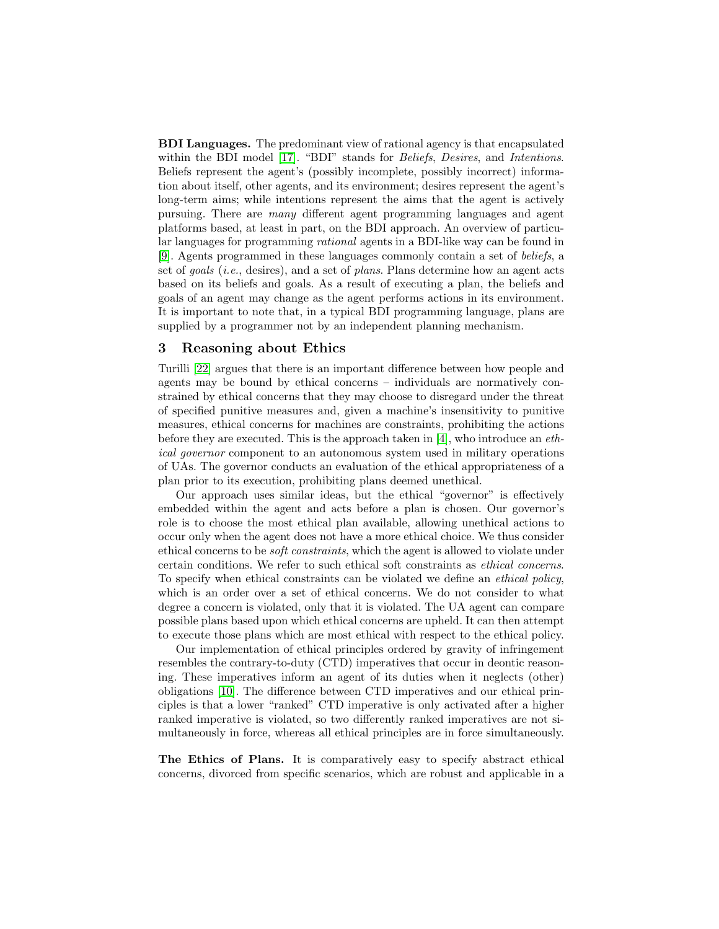BDI Languages. The predominant view of rational agency is that encapsulated within the BDI model [\[17\]](#page-11-10). "BDI" stands for *Beliefs*, *Desires*, and *Intentions*. Beliefs represent the agent's (possibly incomplete, possibly incorrect) information about itself, other agents, and its environment; desires represent the agent's long-term aims; while intentions represent the aims that the agent is actively pursuing. There are many different agent programming languages and agent platforms based, at least in part, on the BDI approach. An overview of particular languages for programming rational agents in a BDI-like way can be found in [\[9\]](#page-11-11). Agents programmed in these languages commonly contain a set of beliefs, a set of *goals* (*i.e.*, desires), and a set of *plans*. Plans determine how an agent acts based on its beliefs and goals. As a result of executing a plan, the beliefs and goals of an agent may change as the agent performs actions in its environment. It is important to note that, in a typical BDI programming language, plans are supplied by a programmer not by an independent planning mechanism.

# <span id="page-2-0"></span>3 Reasoning about Ethics

Turilli [\[22\]](#page-11-12) argues that there is an important difference between how people and agents may be bound by ethical concerns – individuals are normatively constrained by ethical concerns that they may choose to disregard under the threat of specified punitive measures and, given a machine's insensitivity to punitive measures, ethical concerns for machines are constraints, prohibiting the actions before they are executed. This is the approach taken in [\[4\]](#page-11-13), who introduce an ethical governor component to an autonomous system used in military operations of UAs. The governor conducts an evaluation of the ethical appropriateness of a plan prior to its execution, prohibiting plans deemed unethical.

Our approach uses similar ideas, but the ethical "governor" is effectively embedded within the agent and acts before a plan is chosen. Our governor's role is to choose the most ethical plan available, allowing unethical actions to occur only when the agent does not have a more ethical choice. We thus consider ethical concerns to be soft constraints, which the agent is allowed to violate under certain conditions. We refer to such ethical soft constraints as ethical concerns. To specify when ethical constraints can be violated we define an ethical policy, which is an order over a set of ethical concerns. We do not consider to what degree a concern is violated, only that it is violated. The UA agent can compare possible plans based upon which ethical concerns are upheld. It can then attempt to execute those plans which are most ethical with respect to the ethical policy.

Our implementation of ethical principles ordered by gravity of infringement resembles the contrary-to-duty (CTD) imperatives that occur in deontic reasoning. These imperatives inform an agent of its duties when it neglects (other) obligations [\[10\]](#page-11-14). The difference between CTD imperatives and our ethical principles is that a lower "ranked" CTD imperative is only activated after a higher ranked imperative is violated, so two differently ranked imperatives are not simultaneously in force, whereas all ethical principles are in force simultaneously.

<span id="page-2-1"></span>The Ethics of Plans. It is comparatively easy to specify abstract ethical concerns, divorced from specific scenarios, which are robust and applicable in a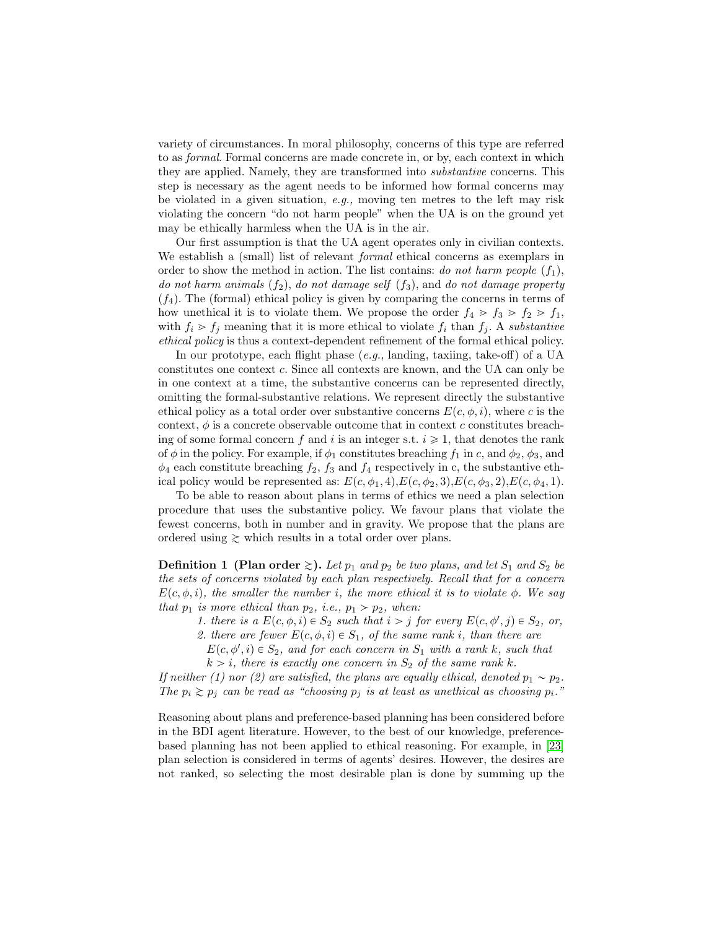variety of circumstances. In moral philosophy, concerns of this type are referred to as formal. Formal concerns are made concrete in, or by, each context in which they are applied. Namely, they are transformed into substantive concerns. This step is necessary as the agent needs to be informed how formal concerns may be violated in a given situation, e.g., moving ten metres to the left may risk violating the concern "do not harm people" when the UA is on the ground yet may be ethically harmless when the UA is in the air.

Our first assumption is that the UA agent operates only in civilian contexts. We establish a (small) list of relevant *formal* ethical concerns as exemplars in order to show the method in action. The list contains: do not harm people  $(f_1)$ , do not harm animals  $(f_2)$ , do not damage self  $(f_3)$ , and do not damage property  $(f_4)$ . The (formal) ethical policy is given by comparing the concerns in terms of how unethical it is to violate them. We propose the order  $f_4 > f_3 > f_2 > f_1$ , with  $f_i > f_j$  meaning that it is more ethical to violate  $f_i$  than  $f_j$ . A substantive ethical policy is thus a context-dependent refinement of the formal ethical policy.

In our prototype, each flight phase (e.g., landing, taxiing, take-off) of a UA constitutes one context c. Since all contexts are known, and the UA can only be in one context at a time, the substantive concerns can be represented directly, omitting the formal-substantive relations. We represent directly the substantive ethical policy as a total order over substantive concerns  $E(c, \phi, i)$ , where c is the context,  $\phi$  is a concrete observable outcome that in context c constitutes breaching of some formal concern f and i is an integer s.t.  $i \geqslant 1$ , that denotes the rank of  $\phi$  in the policy. For example, if  $\phi_1$  constitutes breaching  $f_1$  in c, and  $\phi_2$ ,  $\phi_3$ , and  $\phi_4$  each constitute breaching  $f_2$ ,  $f_3$  and  $f_4$  respectively in c, the substantive ethical policy would be represented as:  $E(c, \phi_1, 4), E(c, \phi_2, 3), E(c, \phi_3, 2), E(c, \phi_4, 1)$ .

To be able to reason about plans in terms of ethics we need a plan selection procedure that uses the substantive policy. We favour plans that violate the fewest concerns, both in number and in gravity. We propose that the plans are ordered using  $\geq$  which results in a total order over plans.

<span id="page-3-0"></span>**Definition 1** (Plan order  $\geq$ ). Let  $p_1$  and  $p_2$  be two plans, and let  $S_1$  and  $S_2$  be the sets of concerns violated by each plan respectively. Recall that for a concern  $E(c, \phi, i)$ , the smaller the number i, the more ethical it is to violate  $\phi$ . We say that  $p_1$  is more ethical than  $p_2$ , i.e.,  $p_1 > p_2$ , when:

- 1. there is a  $E(c, \phi, i) \in S_2$  such that  $i > j$  for every  $E(c, \phi', j) \in S_2$ , or,
- 2. there are fewer  $E(c, \phi, i) \in S_1$ , of the same rank i, than there are
- $E(c, \phi', i) \in S_2$ , and for each concern in  $S_1$  with a rank k, such that  $k > i$ , there is exactly one concern in  $S_2$  of the same rank k.

If neither (1) nor (2) are satisfied, the plans are equally ethical, denoted  $p_1 \sim p_2$ . The  $p_i \gtrsim p_j$  can be read as "choosing  $p_j$  is at least as unethical as choosing  $p_i$ ."

Reasoning about plans and preference-based planning has been considered before in the BDI agent literature. However, to the best of our knowledge, preferencebased planning has not been applied to ethical reasoning. For example, in [\[23\]](#page-11-15) plan selection is considered in terms of agents' desires. However, the desires are not ranked, so selecting the most desirable plan is done by summing up the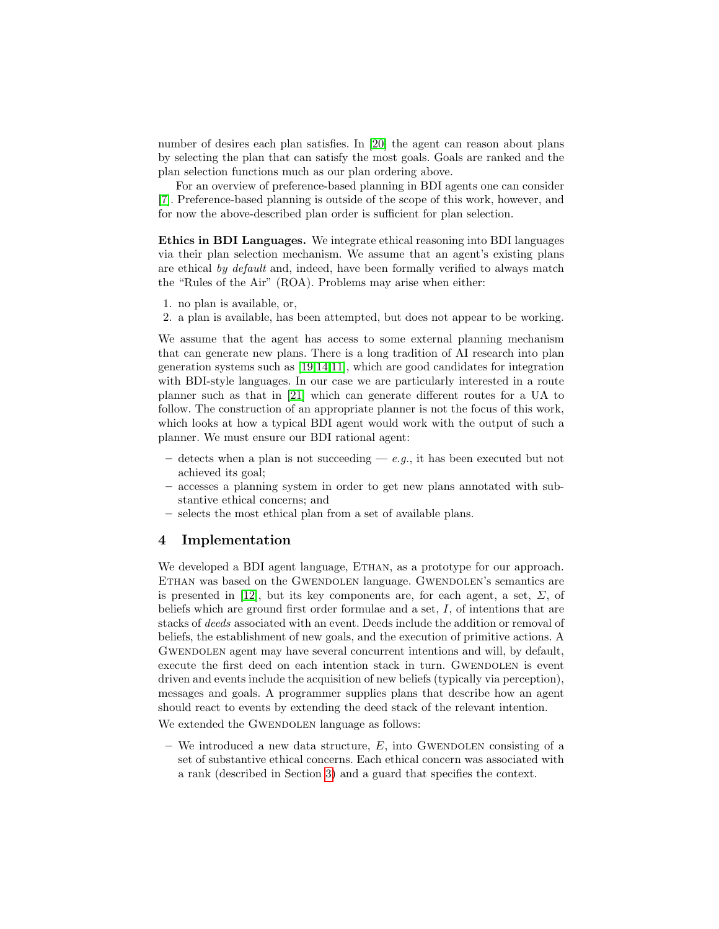number of desires each plan satisfies. In [\[20\]](#page-11-16) the agent can reason about plans by selecting the plan that can satisfy the most goals. Goals are ranked and the plan selection functions much as our plan ordering above.

For an overview of preference-based planning in BDI agents one can consider [\[7\]](#page-11-17). Preference-based planning is outside of the scope of this work, however, and for now the above-described plan order is sufficient for plan selection.

Ethics in BDI Languages. We integrate ethical reasoning into BDI languages via their plan selection mechanism. We assume that an agent's existing plans are ethical by default and, indeed, have been formally verified to always match the "Rules of the Air" (ROA). Problems may arise when either:

- 1. no plan is available, or,
- 2. a plan is available, has been attempted, but does not appear to be working.

We assume that the agent has access to some external planning mechanism that can generate new plans. There is a long tradition of AI research into plan generation systems such as [\[19,](#page-11-18)[14](#page-11-19)[,11\]](#page-11-20), which are good candidates for integration with BDI-style languages. In our case we are particularly interested in a route planner such as that in [\[21\]](#page-11-21) which can generate different routes for a UA to follow. The construction of an appropriate planner is not the focus of this work, which looks at how a typical BDI agent would work with the output of such a planner. We must ensure our BDI rational agent:

- detects when a plan is not succeeding e.g., it has been executed but not achieved its goal;
- accesses a planning system in order to get new plans annotated with substantive ethical concerns; and
- selects the most ethical plan from a set of available plans.

## <span id="page-4-0"></span>4 Implementation

We developed a BDI agent language, ETHAN, as a prototype for our approach. Ethan was based on the Gwendolen language. Gwendolen's semantics are is presented in [\[12\]](#page-11-22), but its key components are, for each agent, a set,  $\Sigma$ , of beliefs which are ground first order formulae and a set, I, of intentions that are stacks of deeds associated with an event. Deeds include the addition or removal of beliefs, the establishment of new goals, and the execution of primitive actions. A GWENDOLEN agent may have several concurrent intentions and will, by default, execute the first deed on each intention stack in turn. GWENDOLEN is event driven and events include the acquisition of new beliefs (typically via perception), messages and goals. A programmer supplies plans that describe how an agent should react to events by extending the deed stack of the relevant intention.

We extended the GWENDOLEN language as follows:

– We introduced a new data structure,  $E$ , into GWENDOLEN consisting of a set of substantive ethical concerns. Each ethical concern was associated with a rank (described in Section [3\)](#page-2-1) and a guard that specifies the context.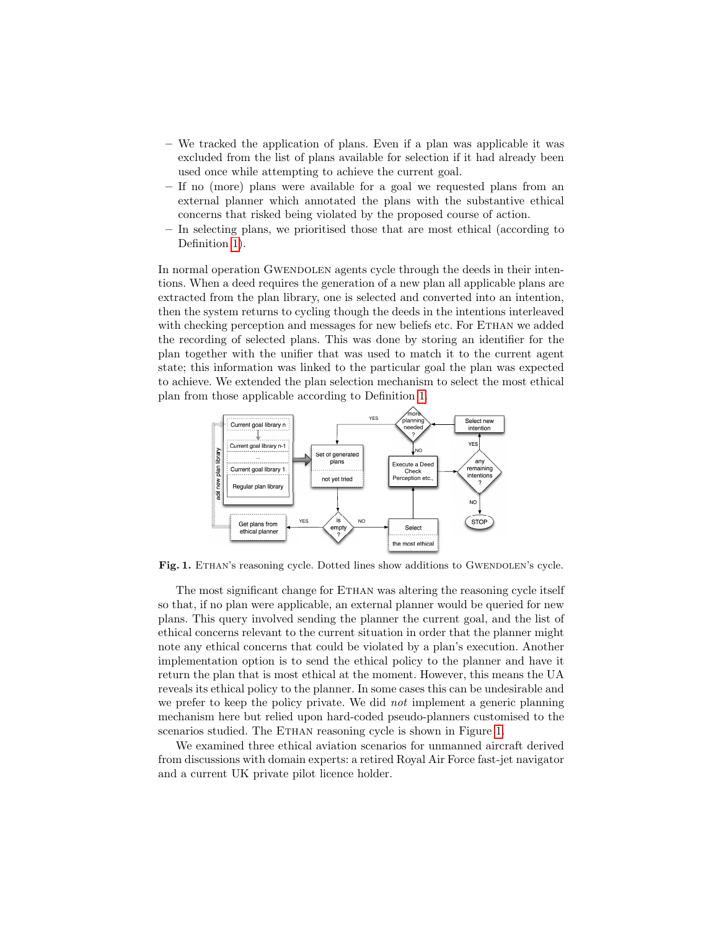- We tracked the application of plans. Even if a plan was applicable it was excluded from the list of plans available for selection if it had already been used once while attempting to achieve the current goal.
- If no (more) plans were available for a goal we requested plans from an external planner which annotated the plans with the substantive ethical concerns that risked being violated by the proposed course of action.
- In selecting plans, we prioritised those that are most ethical (according to Definition [1\)](#page-3-0).

In normal operation GWENDOLEN agents cycle through the deeds in their intentions. When a deed requires the generation of a new plan all applicable plans are extracted from the plan library, one is selected and converted into an intention, then the system returns to cycling though the deeds in the intentions interleaved with checking perception and messages for new beliefs etc. For ETHAN we added the recording of selected plans. This was done by storing an identifier for the plan together with the unifier that was used to match it to the current agent state; this information was linked to the particular goal the plan was expected to achieve. We extended the plan selection mechanism to select the most ethical plan from those applicable according to Definition [1.](#page-3-0)



<span id="page-5-0"></span>Fig. 1. ETHAN's reasoning cycle. Dotted lines show additions to GWENDOLEN's cycle.

The most significant change for ETHAN was altering the reasoning cycle itself so that, if no plan were applicable, an external planner would be queried for new plans. This query involved sending the planner the current goal, and the list of ethical concerns relevant to the current situation in order that the planner might note any ethical concerns that could be violated by a plan's execution. Another implementation option is to send the ethical policy to the planner and have it return the plan that is most ethical at the moment. However, this means the UA reveals its ethical policy to the planner. In some cases this can be undesirable and we prefer to keep the policy private. We did not implement a generic planning mechanism here but relied upon hard-coded pseudo-planners customised to the scenarios studied. The ETHAN reasoning cycle is shown in Figure [1.](#page-5-0)

We examined three ethical aviation scenarios for unmanned aircraft derived from discussions with domain experts: a retired Royal Air Force fast-jet navigator and a current UK private pilot licence holder.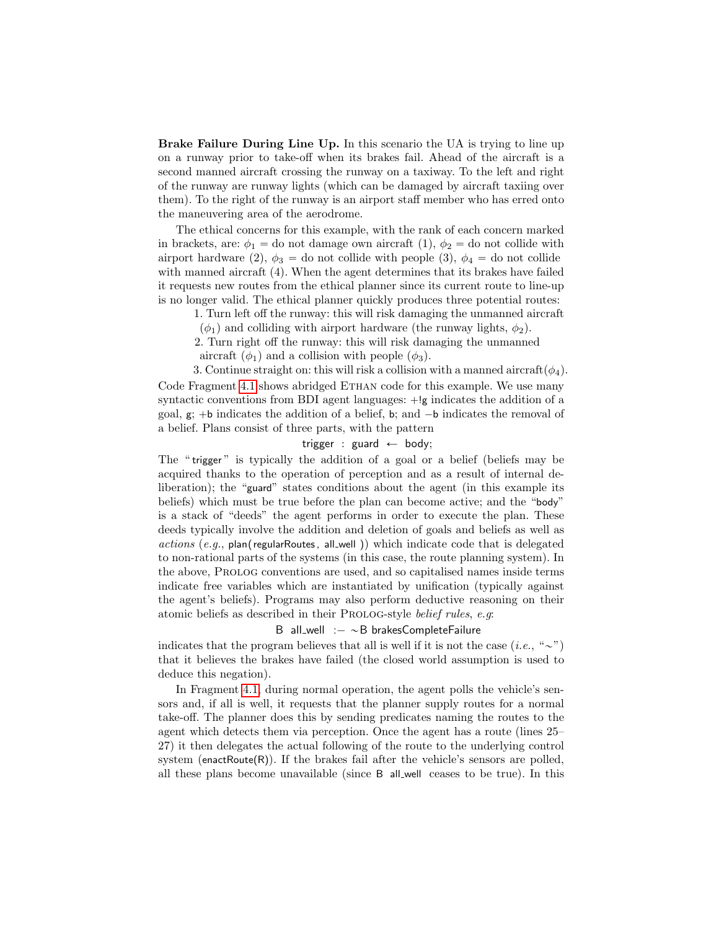Brake Failure During Line Up. In this scenario the UA is trying to line up on a runway prior to take-off when its brakes fail. Ahead of the aircraft is a second manned aircraft crossing the runway on a taxiway. To the left and right of the runway are runway lights (which can be damaged by aircraft taxiing over them). To the right of the runway is an airport staff member who has erred onto the maneuvering area of the aerodrome.

The ethical concerns for this example, with the rank of each concern marked in brackets, are:  $\phi_1 =$  do not damage own aircraft (1),  $\phi_2 =$  do not collide with airport hardware (2),  $\phi_3$  = do not collide with people (3),  $\phi_4$  = do not collide with manned aircraft  $(4)$ . When the agent determines that its brakes have failed it requests new routes from the ethical planner since its current route to line-up is no longer valid. The ethical planner quickly produces three potential routes:

1. Turn left off the runway: this will risk damaging the unmanned aircraft

 $(\phi_1)$  and colliding with airport hardware (the runway lights,  $\phi_2$ ).

2. Turn right off the runway: this will risk damaging the unmanned

aircraft  $(\phi_1)$  and a collision with people  $(\phi_3)$ .

3. Continue straight on: this will risk a collision with a manned aircraft $(\phi_4)$ . Code Fragment [4.1](#page-7-0) shows abridged ETHAN code for this example. We use many syntactic conventions from BDI agent languages:  $+!g$  indicates the addition of a goal,  $g$ ; +b indicates the addition of a belief, b; and  $-b$  indicates the removal of a belief. Plans consist of three parts, with the pattern

#### trigger : guard  $\leftarrow$  body;

The " trigger " is typically the addition of a goal or a belief (beliefs may be acquired thanks to the operation of perception and as a result of internal deliberation); the "guard" states conditions about the agent (in this example its beliefs) which must be true before the plan can become active; and the "body" is a stack of "deeds" the agent performs in order to execute the plan. These deeds typically involve the addition and deletion of goals and beliefs as well as actions (e.g., plan(regularRoutes, all\_well)) which indicate code that is delegated to non-rational parts of the systems (in this case, the route planning system). In the above, Prolog conventions are used, and so capitalised names inside terms indicate free variables which are instantiated by unification (typically against the agent's beliefs). Programs may also perform deductive reasoning on their atomic beliefs as described in their PROLOG-style belief rules, e.g.

#### B all\_well : $-$  ~B brakesCompleteFailure

indicates that the program believes that all is well if it is not the case  $(i.e., "~"$ ) that it believes the brakes have failed (the closed world assumption is used to deduce this negation).

In Fragment [4.1,](#page-7-0) during normal operation, the agent polls the vehicle's sensors and, if all is well, it requests that the planner supply routes for a normal take-off. The planner does this by sending predicates naming the routes to the agent which detects them via perception. Once the agent has a route (lines 25– 27) it then delegates the actual following of the route to the underlying control system (enactRoute(R)). If the brakes fail after the vehicle's sensors are polled, all these plans become unavailable (since B all well ceases to be true). In this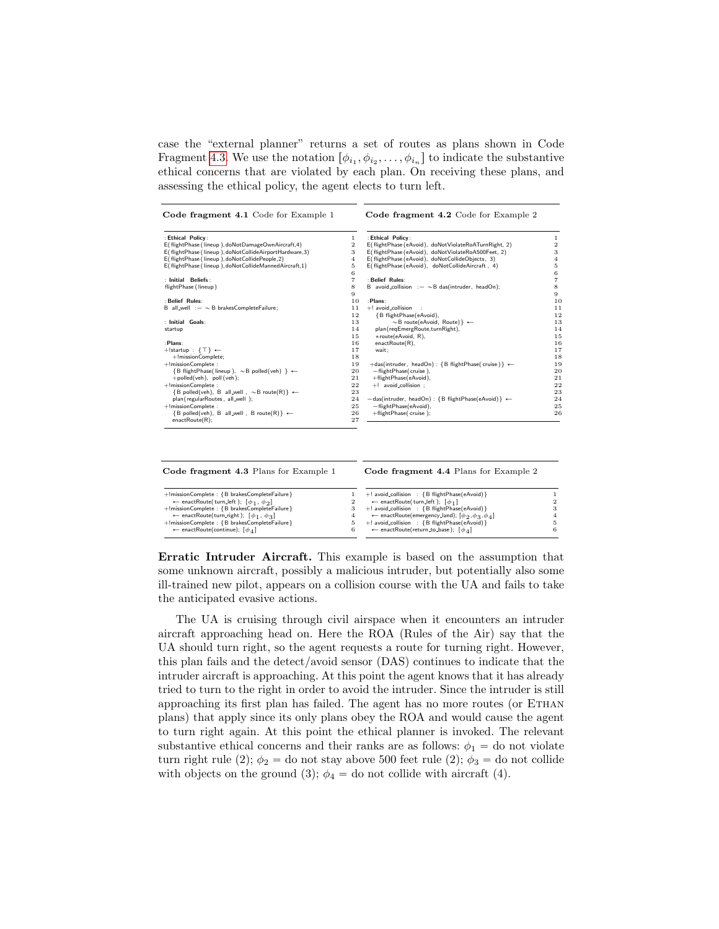case the "external planner" returns a set of routes as plans shown in Code Fragment [4.3.](#page-7-1) We use the notation  $[\phi_{i_1}, \phi_{i_2}, \dots, \phi_{i_n}]$  to indicate the substantive ethical concerns that are violated by each plan. On receiving these plans, and assessing the ethical policy, the agent elects to turn left.

<span id="page-7-3"></span><span id="page-7-0"></span>

| : Ethical Policy:                                                       | 1              | : Ethical Policy:                                                                                    | 1              |
|-------------------------------------------------------------------------|----------------|------------------------------------------------------------------------------------------------------|----------------|
| E(flightPhase(lineup), doNotDamageOwnAircraft, 4)                       | 2              | E(flightPhase(eAvoid), doNotViolateRoATurnRight, 2)                                                  | 2              |
| E(flightPhase(lineup), doNotCollideAirportHardware,3)                   | 3              | E(flightPhase(eAvoid), doNotViolateRoA500Feet, 2)                                                    | 3              |
| E(flightPhase(lineup), doNotCollidePeople,2)                            | $\overline{4}$ | E(flightPhase(eAvoid), doNotCollideObjects, 3)                                                       | $\overline{4}$ |
| E(flightPhase(lineup), doNotCollideMannedAircraft,1)                    | 5              | E(flightPhase(eAvoid), doNotCollideAircraft, 4)                                                      | 5              |
|                                                                         | 6              |                                                                                                      | 6              |
| : Initial Beliefs:                                                      | 7              | : Belief Rules:                                                                                      | $\overline{7}$ |
| flightPhase (lineup)                                                    | 8              | B avoid_collision : $-\sim$ B das(intruder, headOn);                                                 | 8              |
|                                                                         | 9              |                                                                                                      | 9              |
| : Belief Rules:                                                         | 10             | : Plans:                                                                                             | 10             |
| B all_well :- $\sim$ B brakesCompleteFailure;                           | 11             | +! avoid_collision                                                                                   | 11             |
|                                                                         | 12             | {B flightPhase(eAvoid),                                                                              | 12             |
| : Initial Goals:                                                        | 13             | $\sim$ B route(eAvoid, Route)} $\leftarrow$                                                          | 13             |
| startup                                                                 | 14             | plan (reqEmergRoute, turnRight),                                                                     | 14             |
|                                                                         | 15             | *route(eAvoid, R),                                                                                   | 15             |
| : Plans:                                                                | 16             | enactRoute(R),                                                                                       | 16             |
| $+!$ startup: $\{T\} \leftarrow$                                        | 17             | wait:                                                                                                | 17             |
| +!missionComplete;                                                      | 18             |                                                                                                      | 18             |
| +!missionComplete:                                                      | 19             | +das(intruder, headOn): {B flightPhase(cruise)} ←                                                    | 19             |
| ${B}$ flightPhase(lineup), $\sim$ B polled(veh) } $\leftarrow$          | 20             | -flightPhase(cruise),                                                                                | 20             |
| +polled(veh), poll (veh);                                               | 21             | +flightPhase(eAvoid),                                                                                | 21             |
| +!missionComplete:                                                      | 22             | +! avoid_collision ;                                                                                 | 22             |
| ${B \text{ polled}(veh)}$ , B all_well, $\sim$ B route(R)} $\leftarrow$ | 23             |                                                                                                      | 23             |
| plan(regularRoutes, all_well);                                          | 24             | $-\text{das}(\text{intruder}, \text{headOn}) : \{ \text{B flightPhase}(\text{eAvoid}) \} \leftarrow$ | 24             |
| +!missionComplete:                                                      | 25             | -flightPhase(eAvoid),                                                                                | 25             |
| ${B}$ polled(veh), B all_well, B route(R)} $\leftarrow$                 | 26             | +flightPhase(cruise);                                                                                | 26             |
| enactRoute(R);                                                          | 27             |                                                                                                      |                |

<span id="page-7-2"></span><span id="page-7-1"></span>

| Code fragment 4.3 Plans for Example 1                     |    | Code fragment 4.4 Plans for Example 2                               |   |
|-----------------------------------------------------------|----|---------------------------------------------------------------------|---|
| +!missionComplete: {B brakesCompleteFailure}              |    | +! avoid_collision : {B flightPhase(eAvoid)}                        |   |
| ← enactRoute(turn_left); $[\phi_1, \phi_2]$               |    | $\leftarrow$ enactRoute(turn_left); $\lceil \phi_1 \rceil$          |   |
| +!missionComplete: {B brakesCompleteFailure}              | 3  | +! avoid_collision : {B flightPhase(eAvoid)}                        | 3 |
| $\leftarrow$ enactRoute(turn_right); $[\phi_1, \phi_3]$   | 4  | $\leftarrow$ enactRoute(emergency_land); $[\phi_2, \phi_3, \phi_4]$ | 4 |
| +!missionComplete : {B brakesCompleteFailure}             | 5. | +! avoid_collision : {B flightPhase(eAvoid)}                        |   |
| $\leftarrow$ enactRoute(continue); $\lceil \phi_A \rceil$ | 6  | $\leftarrow$ enactRoute(return_to_base); $\lceil \phi_A \rceil$     | 6 |

Erratic Intruder Aircraft. This example is based on the assumption that some unknown aircraft, possibly a malicious intruder, but potentially also some ill-trained new pilot, appears on a collision course with the UA and fails to take the anticipated evasive actions.

The UA is cruising through civil airspace when it encounters an intruder aircraft approaching head on. Here the ROA (Rules of the Air) say that the UA should turn right, so the agent requests a route for turning right. However, this plan fails and the detect/avoid sensor (DAS) continues to indicate that the intruder aircraft is approaching. At this point the agent knows that it has already tried to turn to the right in order to avoid the intruder. Since the intruder is still approaching its first plan has failed. The agent has no more routes (or ETHAN plans) that apply since its only plans obey the ROA and would cause the agent to turn right again. At this point the ethical planner is invoked. The relevant substantive ethical concerns and their ranks are as follows:  $\phi_1 =$  do not violate turn right rule (2);  $\phi_2 =$  do not stay above 500 feet rule (2);  $\phi_3 =$  do not collide with objects on the ground (3);  $\phi_4 =$  do not collide with aircraft (4).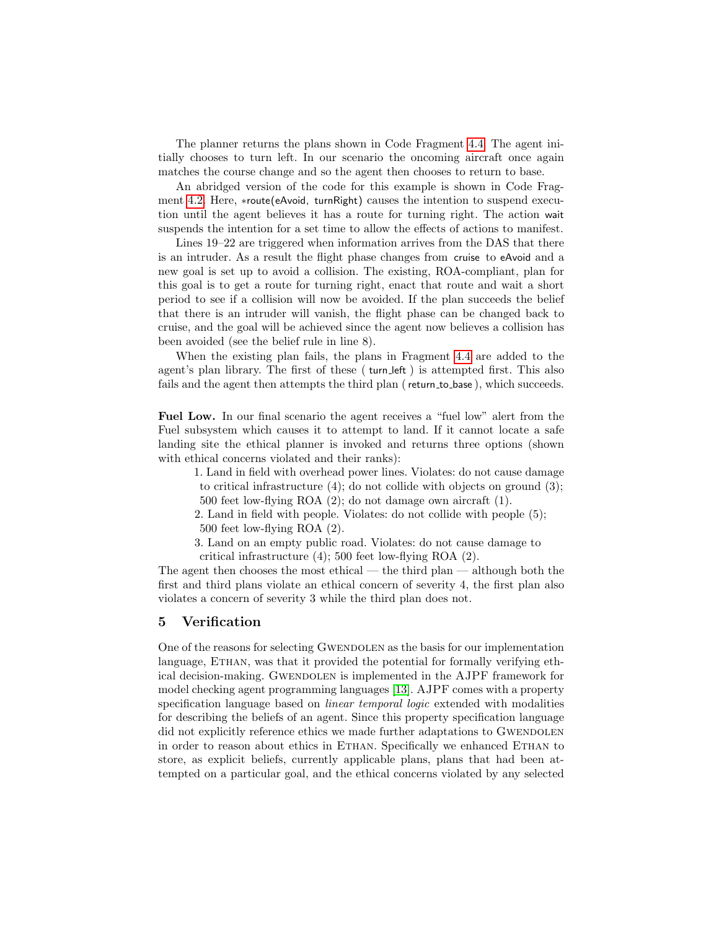The planner returns the plans shown in Code Fragment [4.4.](#page-7-2) The agent initially chooses to turn left. In our scenario the oncoming aircraft once again matches the course change and so the agent then chooses to return to base.

An abridged version of the code for this example is shown in Code Fragment [4.2.](#page-7-3) Here, ∗route(eAvoid, turnRight) causes the intention to suspend execution until the agent believes it has a route for turning right. The action wait suspends the intention for a set time to allow the effects of actions to manifest.

Lines 19–22 are triggered when information arrives from the DAS that there is an intruder. As a result the flight phase changes from cruise to eAvoid and a new goal is set up to avoid a collision. The existing, ROA-compliant, plan for this goal is to get a route for turning right, enact that route and wait a short period to see if a collision will now be avoided. If the plan succeeds the belief that there is an intruder will vanish, the flight phase can be changed back to cruise, and the goal will be achieved since the agent now believes a collision has been avoided (see the belief rule in line 8).

When the existing plan fails, the plans in Fragment [4.4](#page-7-2) are added to the agent's plan library. The first of these ( turn left ) is attempted first. This also fails and the agent then attempts the third plan ( return to base ), which succeeds.

Fuel Low. In our final scenario the agent receives a "fuel low" alert from the Fuel subsystem which causes it to attempt to land. If it cannot locate a safe landing site the ethical planner is invoked and returns three options (shown with ethical concerns violated and their ranks):

- 1. Land in field with overhead power lines. Violates: do not cause damage to critical infrastructure (4); do not collide with objects on ground (3); 500 feet low-flying ROA (2); do not damage own aircraft (1).
- 2. Land in field with people. Violates: do not collide with people (5); 500 feet low-flying ROA (2).
- 3. Land on an empty public road. Violates: do not cause damage to critical infrastructure (4); 500 feet low-flying ROA (2).

The agent then chooses the most ethical — the third plan — although both the first and third plans violate an ethical concern of severity 4, the first plan also violates a concern of severity 3 while the third plan does not.

# <span id="page-8-0"></span>5 Verification

One of the reasons for selecting GWENDOLEN as the basis for our implementation language, ETHAN, was that it provided the potential for formally verifying ethical decision-making. GWENDOLEN is implemented in the AJPF framework for model checking agent programming languages [\[13\]](#page-11-8). AJPF comes with a property specification language based on *linear temporal logic* extended with modalities for describing the beliefs of an agent. Since this property specification language did not explicitly reference ethics we made further adaptations to GWENDOLEN in order to reason about ethics in ETHAN. Specifically we enhanced ETHAN to store, as explicit beliefs, currently applicable plans, plans that had been attempted on a particular goal, and the ethical concerns violated by any selected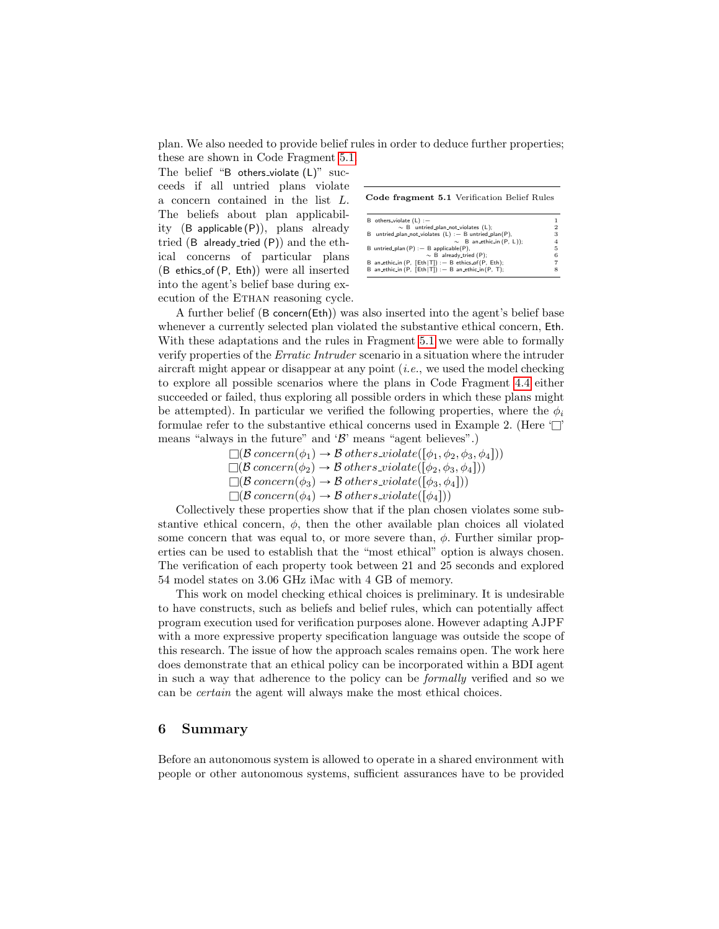plan. We also needed to provide belief rules in order to deduce further properties; these are shown in Code Fragment [5.1.](#page-9-1)

The belief "B others\_violate (L)" succeeds if all untried plans violate a concern contained in the list L. The beliefs about plan applicability (B applicable (P)), plans already tried (B already tried (P)) and the ethical concerns of particular plans (B ethics of (P, Eth)) were all inserted into the agent's belief base during execution of the ETHAN reasoning cycle.

<span id="page-9-1"></span>Code fragment 5.1 Verification Belief Rules

| B others_violate $(L)$ :-                               |   |
|---------------------------------------------------------|---|
| $\sim$ B untried_plan_not_violates (L);                 | 2 |
| B untried_plan_not_violates $(L) := B$ untried_plan(P), | з |
| $\sim$ B an ethic in (P, L));                           |   |
| B untried_plan $(P) := B$ applicable $(P)$ ,            |   |
| $\sim$ B already_tried (P);                             | 6 |
| B an_ethic_in (P, [Eth T]) :- B ethics_of(P, Eth);      |   |
| B an_ethic_in (P, [Eth T]) : - B an_ethic_in (P, T);    | 8 |
|                                                         |   |

A further belief (B concern(Eth)) was also inserted into the agent's belief base whenever a currently selected plan violated the substantive ethical concern, Eth. With these adaptations and the rules in Fragment [5.1](#page-9-1) we were able to formally verify properties of the Erratic Intruder scenario in a situation where the intruder aircraft might appear or disappear at any point  $(i.e.,$  we used the model checking to explore all possible scenarios where the plans in Code Fragment [4.4](#page-7-2) either succeeded or failed, thus exploring all possible orders in which these plans might be attempted). In particular we verified the following properties, where the  $\phi_i$ formulae refer to the substantive ethical concerns used in Example 2. (Here  $\Box$ ) means "always in the future" and 'B' means "agent believes".)

> $\Box(\mathcal{B}\text{ concern}(\phi_1) \rightarrow \mathcal{B}\text{ others}\_\text{violet}([\phi_1, \phi_2, \phi_3, \phi_4]))$  $\Box(\mathcal{B}\text{ concern}(\phi_2) \rightarrow \mathcal{B}\text{ others}\_\text{volatile}([\phi_2, \phi_3, \phi_4]))$  $\Box(\mathcal{B}\text{ concern}(\phi_3)\rightarrow \mathcal{B}\text{ others}\_\text{volatile}([\phi_3, \phi_4]))$  $\Box(\mathcal{B}\text{ concern}(\phi_4) \rightarrow \mathcal{B}\text{ others\_violate}([\phi_4]))$

Collectively these properties show that if the plan chosen violates some substantive ethical concern,  $\phi$ , then the other available plan choices all violated some concern that was equal to, or more severe than,  $\phi$ . Further similar properties can be used to establish that the "most ethical" option is always chosen. The verification of each property took between 21 and 25 seconds and explored 54 model states on 3.06 GHz iMac with 4 GB of memory.

This work on model checking ethical choices is preliminary. It is undesirable to have constructs, such as beliefs and belief rules, which can potentially affect program execution used for verification purposes alone. However adapting AJPF with a more expressive property specification language was outside the scope of this research. The issue of how the approach scales remains open. The work here does demonstrate that an ethical policy can be incorporated within a BDI agent in such a way that adherence to the policy can be formally verified and so we can be certain the agent will always make the most ethical choices.

## <span id="page-9-0"></span>6 Summary

Before an autonomous system is allowed to operate in a shared environment with people or other autonomous systems, sufficient assurances have to be provided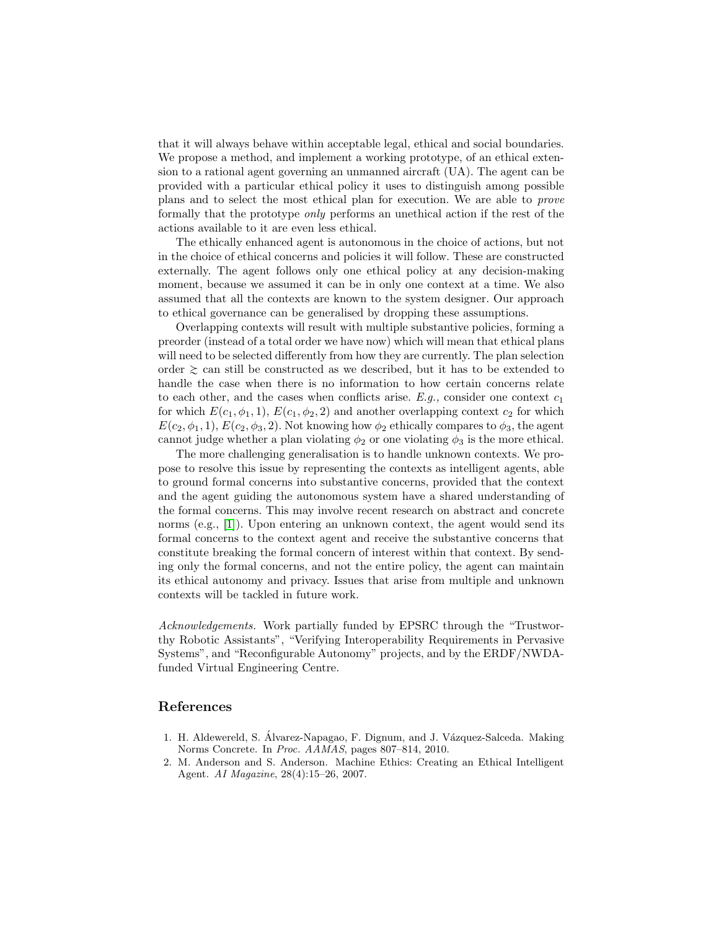that it will always behave within acceptable legal, ethical and social boundaries. We propose a method, and implement a working prototype, of an ethical extension to a rational agent governing an unmanned aircraft (UA). The agent can be provided with a particular ethical policy it uses to distinguish among possible plans and to select the most ethical plan for execution. We are able to prove formally that the prototype only performs an unethical action if the rest of the actions available to it are even less ethical.

The ethically enhanced agent is autonomous in the choice of actions, but not in the choice of ethical concerns and policies it will follow. These are constructed externally. The agent follows only one ethical policy at any decision-making moment, because we assumed it can be in only one context at a time. We also assumed that all the contexts are known to the system designer. Our approach to ethical governance can be generalised by dropping these assumptions.

Overlapping contexts will result with multiple substantive policies, forming a preorder (instead of a total order we have now) which will mean that ethical plans will need to be selected differently from how they are currently. The plan selection order  $\gtrsim$  can still be constructed as we described, but it has to be extended to handle the case when there is no information to how certain concerns relate to each other, and the cases when conflicts arise.  $E.g.,$  consider one context  $c_1$ for which  $E(c_1, \phi_1, 1), E(c_1, \phi_2, 2)$  and another overlapping context  $c_2$  for which  $E(c_2, \phi_1, 1), E(c_2, \phi_3, 2)$ . Not knowing how  $\phi_2$  ethically compares to  $\phi_3$ , the agent cannot judge whether a plan violating  $\phi_2$  or one violating  $\phi_3$  is the more ethical.

The more challenging generalisation is to handle unknown contexts. We propose to resolve this issue by representing the contexts as intelligent agents, able to ground formal concerns into substantive concerns, provided that the context and the agent guiding the autonomous system have a shared understanding of the formal concerns. This may involve recent research on abstract and concrete norms (e.g., [\[1\]](#page-10-1)). Upon entering an unknown context, the agent would send its formal concerns to the context agent and receive the substantive concerns that constitute breaking the formal concern of interest within that context. By sending only the formal concerns, and not the entire policy, the agent can maintain its ethical autonomy and privacy. Issues that arise from multiple and unknown contexts will be tackled in future work.

Acknowledgements. Work partially funded by EPSRC through the "Trustworthy Robotic Assistants", "Verifying Interoperability Requirements in Pervasive Systems", and "Reconfigurable Autonomy" projects, and by the ERDF/NWDAfunded Virtual Engineering Centre.

### References

- <span id="page-10-1"></span>1. H. Aldewereld, S. Álvarez-Napagao, F. Dignum, and J. Vázquez-Salceda. Making Norms Concrete. In Proc. AAMAS, pages 807–814, 2010.
- <span id="page-10-0"></span>2. M. Anderson and S. Anderson. Machine Ethics: Creating an Ethical Intelligent Agent. AI Magazine, 28(4):15–26, 2007.